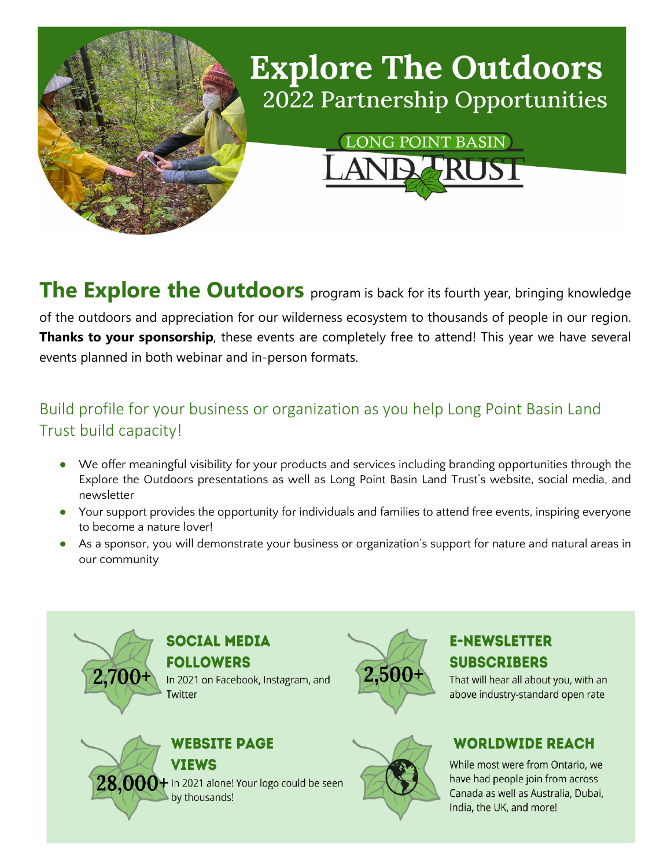

**The Explore the Outdoors** program is back for its fourth year, bringing knowledge of the outdoors and appreciation for our wilderness ecosystem to thousands of people in our region. **Thanks to your sponsorship**, these events are completely free to attend! This year we have several events planned in both webinar and in-person formats.

### Build profile for your business or organization as you help Long Point Basin Land Trust build capacity!

- We offer meaningful visibility for your products and services including branding opportunities through the Explore the Outdoors presentations as well as Long Point Basin Land Trust's website, social media, and newsletter
- Your support provides the opportunity for individuals and families to attend free events, inspiring everyone to become a nature lover!
- As a sponsor, you will demonstrate your business or organization's support for nature and natural areas in our community



#### **E-NEWSLETTER SUBSCRIBERS**

That will hear all about you, with an above industry-standard open rate

#### **WORLDWIDE REACH**

While most were from Ontario, we have had people join from across Canada as well as Australia, Dubai, India, the UK, and more!